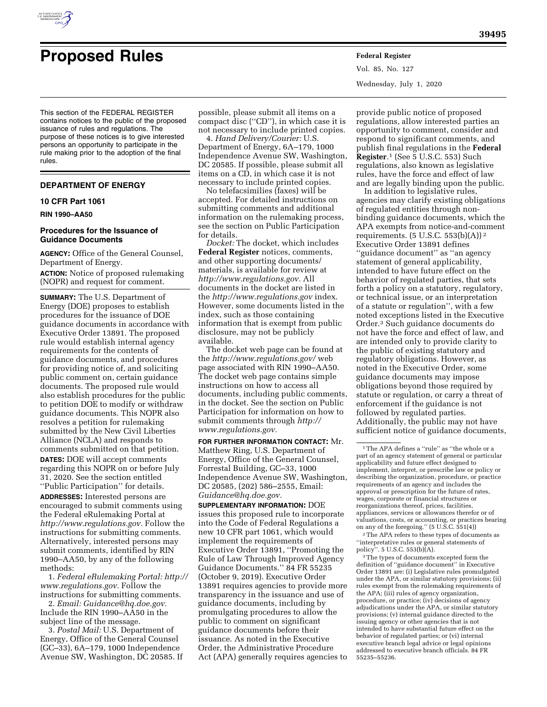

# **Proposed Rules Federal Register**

Vol. 85, No. 127 Wednesday, July 1, 2020

This section of the FEDERAL REGISTER contains notices to the public of the proposed issuance of rules and regulations. The purpose of these notices is to give interested persons an opportunity to participate in the rule making prior to the adoption of the final rules.

## **DEPARTMENT OF ENERGY**

#### **10 CFR Part 1061**

## **RIN 1990–AA50**

## **Procedures for the Issuance of Guidance Documents**

**AGENCY:** Office of the General Counsel, Department of Energy.

**ACTION:** Notice of proposed rulemaking (NOPR) and request for comment.

**SUMMARY:** The U.S. Department of Energy (DOE) proposes to establish procedures for the issuance of DOE guidance documents in accordance with Executive Order 13891. The proposed rule would establish internal agency requirements for the contents of guidance documents, and procedures for providing notice of, and soliciting public comment on, certain guidance documents. The proposed rule would also establish procedures for the public to petition DOE to modify or withdraw guidance documents. This NOPR also resolves a petition for rulemaking submitted by the New Civil Liberties Alliance (NCLA) and responds to comments submitted on that petition. **DATES:** DOE will accept comments regarding this NOPR on or before July 31, 2020. See the section entitled ''Public Participation'' for details.

**ADDRESSES:** Interested persons are encouraged to submit comments using the Federal eRulemaking Portal at *[http://www.regulations.gov.](http://www.regulations.gov)* Follow the instructions for submitting comments. Alternatively, interested persons may submit comments, identified by RIN 1990–AA50, by any of the following methods:

1. *Federal eRulemaking Portal: [http://](http://www.regulations.gov)  [www.regulations.gov.](http://www.regulations.gov)* Follow the instructions for submitting comments.

2. *Email: [Guidance@hq.doe.gov.](mailto:Guidance@hq.doe.gov)*  Include the RIN 1990–AA50 in the subject line of the message.

3. *Postal Mail:* U.S. Department of Energy, Office of the General Counsel (GC–33), 6A–179, 1000 Independence Avenue SW, Washington, DC 20585. If

possible, please submit all items on a compact disc (''CD''), in which case it is not necessary to include printed copies.

4. *Hand Delivery/Courier:* U.S. Department of Energy, 6A–179, 1000 Independence Avenue SW, Washington, DC 20585. If possible, please submit all items on a CD, in which case it is not necessary to include printed copies.

No telefacsimilies (faxes) will be accepted. For detailed instructions on submitting comments and additional information on the rulemaking process, see the section on Public Participation for details.

*Docket:* The docket, which includes **Federal Register** notices, comments, and other supporting documents/ materials, is available for review at *[http://www.regulations.gov.](http://www.regulations.gov)* All documents in the docket are listed in the *<http://www.regulations.gov>*index. However, some documents listed in the index, such as those containing information that is exempt from public disclosure, may not be publicly available.

The docket web page can be found at the *<http://www.regulations.gov/>* web page associated with RIN 1990–AA50. The docket web page contains simple instructions on how to access all documents, including public comments, in the docket. See the section on Public Participation for information on how to submit comments through *[http://](http://www.regulations.gov) [www.regulations.gov.](http://www.regulations.gov)* 

**FOR FURTHER INFORMATION CONTACT:** Mr. Matthew Ring, U.S. Department of Energy, Office of the General Counsel, Forrestal Building, GC–33, 1000 Independence Avenue SW, Washington, DC 20585, (202) 586–2555, Email: *[Guidance@hq.doe.gov.](mailto:Guidance@hq.doe.gov)* 

**SUPPLEMENTARY INFORMATION:** DOE issues this proposed rule to incorporate into the Code of Federal Regulations a new 10 CFR part 1061, which would implement the requirements of Executive Order 13891, ''Promoting the Rule of Law Through Improved Agency Guidance Documents.'' 84 FR 55235 (October 9, 2019). Executive Order 13891 requires agencies to provide more transparency in the issuance and use of guidance documents, including by promulgating procedures to allow the public to comment on significant guidance documents before their issuance. As noted in the Executive Order, the Administrative Procedure Act (APA) generally requires agencies to

provide public notice of proposed regulations, allow interested parties an opportunity to comment, consider and respond to significant comments, and publish final regulations in the **Federal Register***.*1 (See 5 U.S.C. 553) Such regulations, also known as legislative rules, have the force and effect of law and are legally binding upon the public.

In addition to legislative rules, agencies may clarify existing obligations of regulated entities through nonbinding guidance documents, which the APA exempts from notice-and-comment requirements.  $(5 \text{ U.S.C. } 553(b)(A))^2$ Executive Order 13891 defines ''guidance document'' as ''an agency statement of general applicability, intended to have future effect on the behavior of regulated parties, that sets forth a policy on a statutory, regulatory, or technical issue, or an interpretation of a statute or regulation'', with a few noted exceptions listed in the Executive Order.3 Such guidance documents do not have the force and effect of law, and are intended only to provide clarity to the public of existing statutory and regulatory obligations. However, as noted in the Executive Order, some guidance documents may impose obligations beyond those required by statute or regulation, or carry a threat of enforcement if the guidance is not followed by regulated parties. Additionally, the public may not have sufficient notice of guidance documents,

2The APA refers to these types of documents as ''interpretative rules or general statements of policy''. 5 U.S.C. 553(b)(A).

3The types of documents excepted form the definition of ''guidance document'' in Executive Order 13891 are: (i) Legislative rules promulgated under the APA, or similar statutory provisions; (ii) rules exempt from the rulemaking requirements of the APA; (iii) rules of agency organization, procedure, or practice; (iv) decisions of agency adjudications under the APA, or similar statutory provisions; (v) internal guidance directed to the issuing agency or other agencies that is not intended to have substantial future effect on the behavior of regulated parties; or (vi) internal executive branch legal advice or legal opinions addressed to executive branch officials. 84 FR 55235–55236.

<sup>1</sup>The APA defines a ''rule'' as ''the whole or a part of an agency statement of general or particular applicability and future effect designed to implement, interpret, or prescribe law or policy or describing the organization, procedure, or practice requirements of an agency and includes the approval or prescription for the future of rates, wages, corporate or financial structures or reorganizations thereof, prices, facilities, appliances, services or allowances therefor or of valuations, costs, or accounting, or practices bearing on any of the foregoing.'' (5 U.S.C. 551(4))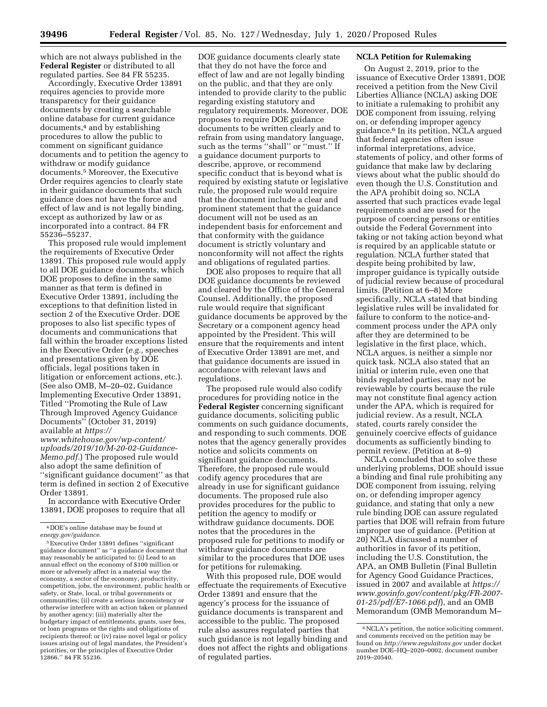which are not always published in the **Federal Register** or distributed to all regulated parties. See 84 FR 55235.

Accordingly, Executive Order 13891 requires agencies to provide more transparency for their guidance documents by creating a searchable online database for current guidance documents,4 and by establishing procedures to allow the public to comment on significant guidance documents and to petition the agency to withdraw or modify guidance documents.5 Moreover, the Executive Order requires agencies to clearly state in their guidance documents that such guidance does not have the force and effect of law and is not legally binding, except as authorized by law or as incorporated into a contract. 84 FR 55236–55237.

This proposed rule would implement the requirements of Executive Order 13891. This proposed rule would apply to all DOE guidance documents, which DOE proposes to define in the same manner as that term is defined in Executive Order 13891, including the exceptions to that definition listed in section 2 of the Executive Order. DOE proposes to also list specific types of documents and communications that fall within the broader exceptions listed in the Executive Order (*e.g.,* speeches and presentations given by DOE officials, legal positions taken in litigation or enforcement actions, etc.). (See also OMB, M–20–02, Guidance Implementing Executive Order 13891, Titled ''Promoting the Rule of Law Through Improved Agency Guidance Documents'' (October 31, 2019) available at *[https://](https://www.whitehouse.gov/wp-content/uploads/2019/10/M-20-02-Guidance-Memo.pdf)*

*[www.whitehouse.gov/wp-content/](https://www.whitehouse.gov/wp-content/uploads/2019/10/M-20-02-Guidance-Memo.pdf) [uploads/2019/10/M-20-02-Guidance-](https://www.whitehouse.gov/wp-content/uploads/2019/10/M-20-02-Guidance-Memo.pdf)[Memo.pdf.](https://www.whitehouse.gov/wp-content/uploads/2019/10/M-20-02-Guidance-Memo.pdf)*) The proposed rule would also adopt the same definition of ''significant guidance document'' as that term is defined in section 2 of Executive Order 13891.

In accordance with Executive Order 13891, DOE proposes to require that all

DOE guidance documents clearly state that they do not have the force and effect of law and are not legally binding on the public, and that they are only intended to provide clarity to the public regarding existing statutory and regulatory requirements. Moreover, DOE proposes to require DOE guidance documents to be written clearly and to refrain from using mandatory language, such as the terms ''shall'' or ''must.'' If a guidance document purports to describe, approve, or recommend specific conduct that is beyond what is required by existing statute or legislative rule, the proposed rule would require that the document include a clear and prominent statement that the guidance document will not be used as an independent basis for enforcement and that conformity with the guidance document is strictly voluntary and nonconformity will not affect the rights and obligations of regulated parties.

DOE also proposes to require that all DOE guidance documents be reviewed and cleared by the Office of the General Counsel. Additionally, the proposed rule would require that significant guidance documents be approved by the Secretary or a component agency head appointed by the President. This will ensure that the requirements and intent of Executive Order 13891 are met, and that guidance documents are issued in accordance with relevant laws and regulations.

The proposed rule would also codify procedures for providing notice in the **Federal Register** concerning significant guidance documents, soliciting public comments on such guidance documents, and responding to such comments. DOE notes that the agency generally provides notice and solicits comments on significant guidance documents. Therefore, the proposed rule would codify agency procedures that are already in use for significant guidance documents. The proposed rule also provides procedures for the public to petition the agency to modify or withdraw guidance documents. DOE notes that the procedures in the proposed rule for petitions to modify or withdraw guidance documents are similar to the procedures that DOE uses for petitions for rulemaking.

With this proposed rule, DOE would effectuate the requirements of Executive Order 13891 and ensure that the agency's process for the issuance of guidance documents is transparent and accessible to the public. The proposed rule also assures regulated parties that such guidance is not legally binding and does not affect the rights and obligations of regulated parties.

# **NCLA Petition for Rulemaking**

On August 2, 2019, prior to the issuance of Executive Order 13891, DOE received a petition from the New Civil Liberties Alliance (NCLA) asking DOE to initiate a rulemaking to prohibit any DOE component from issuing, relying on, or defending improper agency guidance.6 In its petition, NCLA argued that federal agencies often issue informal interpretations, advice, statements of policy, and other forms of guidance that make law by declaring views about what the public should do even though the U.S. Constitution and the APA prohibit doing so. NCLA asserted that such practices evade legal requirements and are used for the purpose of coercing persons or entities outside the Federal Government into taking or not taking action beyond what is required by an applicable statute or regulation. NCLA further stated that despite being prohibited by law, improper guidance is typically outside of judicial review because of procedural limits. (Petition at 6–8) More specifically, NCLA stated that binding legislative rules will be invalidated for failure to conform to the notice-andcomment process under the APA only after they are determined to be legislative in the first place, which, NCLA argues, is neither a simple nor quick task. NCLA also stated that an initial or interim rule, even one that binds regulated parties, may not be reviewable by courts because the rule may not constitute final agency action under the APA, which is required for judicial review. As a result, NCLA stated, courts rarely consider the genuinely coercive effects of guidance documents as sufficiently binding to permit review. (Petition at 8–9)

NCLA concluded that to solve these underlying problems, DOE should issue a binding and final rule prohibiting any DOE component from issuing, relying on, or defending improper agency guidance, and stating that only a new rule binding DOE can assure regulated parties that DOE will refrain from future improper use of guidance. (Petition at 20) NCLA discussed a number of authorities in favor of its petition, including the U.S. Constitution, the APA, an OMB Bulletin (Final Bulletin for Agency Good Guidance Practices, issued in 2007 and available at *[https://](https://www.govinfo.gov/content/pkg/FR-2007-01-25/pdf/E7-1066.pdf) [www.govinfo.gov/content/pkg/FR-2007-](https://www.govinfo.gov/content/pkg/FR-2007-01-25/pdf/E7-1066.pdf) [01-25/pdf/E7-1066.pdf](https://www.govinfo.gov/content/pkg/FR-2007-01-25/pdf/E7-1066.pdf)*), and an OMB Memorandum (OMB Memorandum M–

<sup>4</sup> DOE's online database may be found at *energy.gov/guidance.* 

<sup>5</sup>Executive Order 13891 defines ''significant guidance document'' as ''a guidance document that may reasonably be anticipated to: (i) Lead to an annual effect on the economy of \$100 million or more or adversely affect in a material way the economy, a sector of the economy, productivity, competition, jobs, the environment, public health or safety, or State, local, or tribal governments or communities; (ii) create a serious inconsistency or otherwise interfere with an action taken or planned by another agency; (iii) materially alter the budgetary impact of entitlements, grants, user fees, or loan programs or the rights and obligations of recipients thereof; or (iv) raise novel legal or policy issues arising out of legal mandates, the President's priorities, or the principles of Executive Order 12866.'' 84 FR 55236.

<sup>6</sup>NCLA's petition, the notice soliciting comment, and comments received on the petition may be found on *<http://www.regulaitons.gov>* under docket number DOE–HQ–2020–0002, document number 2019–20540.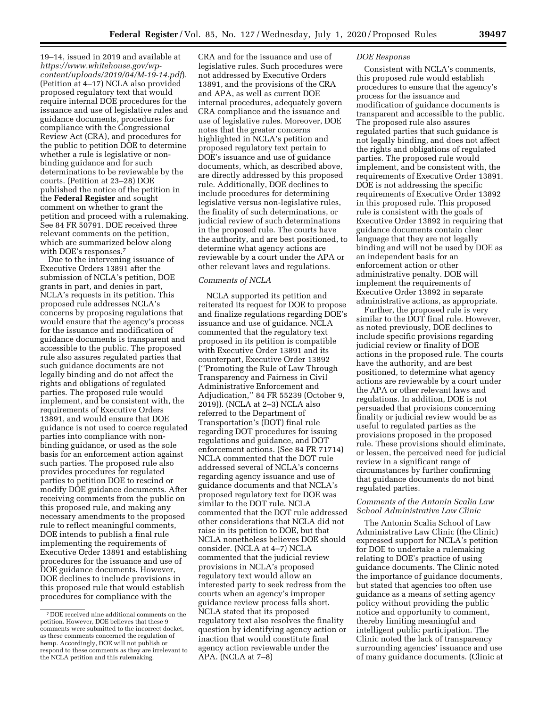19–14, issued in 2019 and available at *[https://www.whitehouse.gov/wp](https://www.whitehouse.gov/wp-content/uploads/2019/04/M-19-14.pdf)[content/uploads/2019/04/M-19-14.pdf](https://www.whitehouse.gov/wp-content/uploads/2019/04/M-19-14.pdf)*). (Petition at 4–17) NCLA also provided proposed regulatory text that would require internal DOE procedures for the issuance and use of legislative rules and guidance documents, procedures for compliance with the Congressional Review Act (CRA), and procedures for the public to petition DOE to determine whether a rule is legislative or nonbinding guidance and for such determinations to be reviewable by the courts. (Petition at 23–28) DOE published the notice of the petition in the **Federal Register** and sought comment on whether to grant the petition and proceed with a rulemaking. See 84 FR 50791. DOE received three relevant comments on the petition, which are summarized below along with DOE's responses.<sup>7</sup>

Due to the intervening issuance of Executive Orders 13891 after the submission of NCLA's petition, DOE grants in part, and denies in part, NCLA's requests in its petition. This proposed rule addresses NCLA's concerns by proposing regulations that would ensure that the agency's process for the issuance and modification of guidance documents is transparent and accessible to the public. The proposed rule also assures regulated parties that such guidance documents are not legally binding and do not affect the rights and obligations of regulated parties. The proposed rule would implement, and be consistent with, the requirements of Executive Orders 13891, and would ensure that DOE guidance is not used to coerce regulated parties into compliance with nonbinding guidance, or used as the sole basis for an enforcement action against such parties. The proposed rule also provides procedures for regulated parties to petition DOE to rescind or modify DOE guidance documents. After receiving comments from the public on this proposed rule, and making any necessary amendments to the proposed rule to reflect meaningful comments, DOE intends to publish a final rule implementing the requirements of Executive Order 13891 and establishing procedures for the issuance and use of DOE guidance documents. However, DOE declines to include provisions in this proposed rule that would establish procedures for compliance with the

CRA and for the issuance and use of legislative rules. Such procedures were not addressed by Executive Orders 13891, and the provisions of the CRA and APA, as well as current DOE internal procedures, adequately govern CRA compliance and the issuance and use of legislative rules. Moreover, DOE notes that the greater concerns highlighted in NCLA's petition and proposed regulatory text pertain to DOE's issuance and use of guidance documents, which, as described above, are directly addressed by this proposed rule. Additionally, DOE declines to include procedures for determining legislative versus non-legislative rules, the finality of such determinations, or judicial review of such determinations in the proposed rule. The courts have the authority, and are best positioned, to determine what agency actions are reviewable by a court under the APA or other relevant laws and regulations.

## *Comments of NCLA*

NCLA supported its petition and reiterated its request for DOE to propose and finalize regulations regarding DOE's issuance and use of guidance. NCLA commented that the regulatory text proposed in its petition is compatible with Executive Order 13891 and its counterpart, Executive Order 13892 (''Promoting the Rule of Law Through Transparency and Fairness in Civil Administrative Enforcement and Adjudication,'' 84 FR 55239 (October 9, 2019)). (NCLA at 2–3) NCLA also referred to the Department of Transportation's (DOT) final rule regarding DOT procedures for issuing regulations and guidance, and DOT enforcement actions. (See 84 FR 71714) NCLA commented that the DOT rule addressed several of NCLA's concerns regarding agency issuance and use of guidance documents and that NCLA's proposed regulatory text for DOE was similar to the DOT rule. NCLA commented that the DOT rule addressed other considerations that NCLA did not raise in its petition to DOE, but that NCLA nonetheless believes DOE should consider. (NCLA at 4–7) NCLA commented that the judicial review provisions in NCLA's proposed regulatory text would allow an interested party to seek redress from the courts when an agency's improper guidance review process falls short. NCLA stated that its proposed regulatory text also resolves the finality question by identifying agency action or inaction that would constitute final agency action reviewable under the APA. (NCLA at 7–8)

#### *DOE Response*

Consistent with NCLA's comments, this proposed rule would establish procedures to ensure that the agency's process for the issuance and modification of guidance documents is transparent and accessible to the public. The proposed rule also assures regulated parties that such guidance is not legally binding, and does not affect the rights and obligations of regulated parties. The proposed rule would implement, and be consistent with, the requirements of Executive Order 13891. DOE is not addressing the specific requirements of Executive Order 13892 in this proposed rule. This proposed rule is consistent with the goals of Executive Order 13892 in requiring that guidance documents contain clear language that they are not legally binding and will not be used by DOE as an independent basis for an enforcement action or other administrative penalty. DOE will implement the requirements of Executive Order 13892 in separate administrative actions, as appropriate.

Further, the proposed rule is very similar to the DOT final rule. However, as noted previously, DOE declines to include specific provisions regarding judicial review or finality of DOE actions in the proposed rule. The courts have the authority, and are best positioned, to determine what agency actions are reviewable by a court under the APA or other relevant laws and regulations. In addition, DOE is not persuaded that provisions concerning finality or judicial review would be as useful to regulated parties as the provisions proposed in the proposed rule. These provisions should eliminate, or lessen, the perceived need for judicial review in a significant range of circumstances by further confirming that guidance documents do not bind regulated parties.

## *Comments of the Antonin Scalia Law School Administrative Law Clinic*

The Antonin Scalia School of Law Administrative Law Clinic (the Clinic) expressed support for NCLA's petition for DOE to undertake a rulemaking relating to DOE's practice of using guidance documents. The Clinic noted the importance of guidance documents, but stated that agencies too often use guidance as a means of setting agency policy without providing the public notice and opportunity to comment, thereby limiting meaningful and intelligent public participation. The Clinic noted the lack of transparency surrounding agencies' issuance and use of many guidance documents. (Clinic at

<sup>7</sup> DOE received nine additional comments on the petition. However, DOE believes that these 9 comments were submitted to the incorrect docket, as these comments concerned the regulation of hemp. Accordingly, DOE will not publish or respond to these comments as they are irrelevant to the NCLA petition and this rulemaking.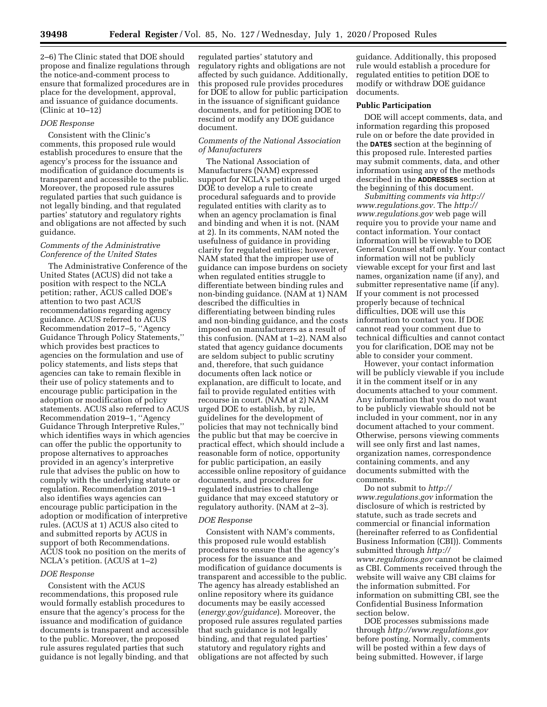2–6) The Clinic stated that DOE should propose and finalize regulations through the notice-and-comment process to ensure that formalized procedures are in place for the development, approval, and issuance of guidance documents. (Clinic at 10–12)

#### *DOE Response*

Consistent with the Clinic's comments, this proposed rule would establish procedures to ensure that the agency's process for the issuance and modification of guidance documents is transparent and accessible to the public. Moreover, the proposed rule assures regulated parties that such guidance is not legally binding, and that regulated parties' statutory and regulatory rights and obligations are not affected by such guidance.

### *Comments of the Administrative Conference of the United States*

The Administrative Conference of the United States (ACUS) did not take a position with respect to the NCLA petition; rather, ACUS called DOE's attention to two past ACUS recommendations regarding agency guidance. ACUS referred to ACUS Recommendation 2017–5, ''Agency Guidance Through Policy Statements,'' which provides best practices to agencies on the formulation and use of policy statements, and lists steps that agencies can take to remain flexible in their use of policy statements and to encourage public participation in the adoption or modification of policy statements. ACUS also referred to ACUS Recommendation 2019–1, ''Agency Guidance Through Interpretive Rules,'' which identifies ways in which agencies can offer the public the opportunity to propose alternatives to approaches provided in an agency's interpretive rule that advises the public on how to comply with the underlying statute or regulation. Recommendation 2019–1 also identifies ways agencies can encourage public participation in the adoption or modification of interpretive rules. (ACUS at 1) ACUS also cited to and submitted reports by ACUS in support of both Recommendations. ACUS took no position on the merits of NCLA's petition. (ACUS at 1–2)

#### *DOE Response*

Consistent with the ACUS recommendations, this proposed rule would formally establish procedures to ensure that the agency's process for the issuance and modification of guidance documents is transparent and accessible to the public. Moreover, the proposed rule assures regulated parties that such guidance is not legally binding, and that

regulated parties' statutory and regulatory rights and obligations are not affected by such guidance. Additionally, this proposed rule provides procedures for DOE to allow for public participation in the issuance of significant guidance documents, and for petitioning DOE to rescind or modify any DOE guidance document.

## *Comments of the National Association of Manufacturers*

The National Association of Manufacturers (NAM) expressed support for NCLA's petition and urged DOE to develop a rule to create procedural safeguards and to provide regulated entities with clarity as to when an agency proclamation is final and binding and when it is not. (NAM at 2). In its comments, NAM noted the usefulness of guidance in providing clarity for regulated entities; however, NAM stated that the improper use of guidance can impose burdens on society when regulated entities struggle to differentiate between binding rules and non-binding guidance. (NAM at 1) NAM described the difficulties in differentiating between binding rules and non-binding guidance, and the costs imposed on manufacturers as a result of this confusion. (NAM at 1–2). NAM also stated that agency guidance documents are seldom subject to public scrutiny and, therefore, that such guidance documents often lack notice or explanation, are difficult to locate, and fail to provide regulated entities with recourse in court. (NAM at 2) NAM urged DOE to establish, by rule, guidelines for the development of policies that may not technically bind the public but that may be coercive in practical effect, which should include a reasonable form of notice, opportunity for public participation, an easily accessible online repository of guidance documents, and procedures for regulated industries to challenge guidance that may exceed statutory or regulatory authority. (NAM at 2–3).

### *DOE Response*

Consistent with NAM's comments, this proposed rule would establish procedures to ensure that the agency's process for the issuance and modification of guidance documents is transparent and accessible to the public. The agency has already established an online repository where its guidance documents may be easily accessed (*energy.gov/guidance*). Moreover, the proposed rule assures regulated parties that such guidance is not legally binding, and that regulated parties' statutory and regulatory rights and obligations are not affected by such

guidance. Additionally, this proposed rule would establish a procedure for regulated entities to petition DOE to modify or withdraw DOE guidance documents.

#### **Public Participation**

DOE will accept comments, data, and information regarding this proposed rule on or before the date provided in the **DATES** section at the beginning of this proposed rule. Interested parties may submit comments, data, and other information using any of the methods described in the **ADDRESSES** section at the beginning of this document.

*Submitting comments via [http://](http://www.regulations.gov) [www.regulations.gov.](http://www.regulations.gov)* The *[http://](http://www.regulations.gov) [www.regulations.gov](http://www.regulations.gov)* web page will require you to provide your name and contact information. Your contact information will be viewable to DOE General Counsel staff only. Your contact information will not be publicly viewable except for your first and last names, organization name (if any), and submitter representative name (if any). If your comment is not processed properly because of technical difficulties, DOE will use this information to contact you. If DOE cannot read your comment due to technical difficulties and cannot contact you for clarification, DOE may not be able to consider your comment.

However, your contact information will be publicly viewable if you include it in the comment itself or in any documents attached to your comment. Any information that you do not want to be publicly viewable should not be included in your comment, nor in any document attached to your comment. Otherwise, persons viewing comments will see only first and last names, organization names, correspondence containing comments, and any documents submitted with the comments.

Do not submit to *[http://](http://www.regulations.gov) [www.regulations.gov](http://www.regulations.gov)* information the disclosure of which is restricted by statute, such as trade secrets and commercial or financial information (hereinafter referred to as Confidential Business Information (CBI)). Comments submitted through *[http://](http://www.regulations.gov) [www.regulations.gov](http://www.regulations.gov)* cannot be claimed as CBI. Comments received through the website will waive any CBI claims for the information submitted. For information on submitting CBI, see the Confidential Business Information section below.

DOE processes submissions made through *<http://www.regulations.gov>*  before posting. Normally, comments will be posted within a few days of being submitted. However, if large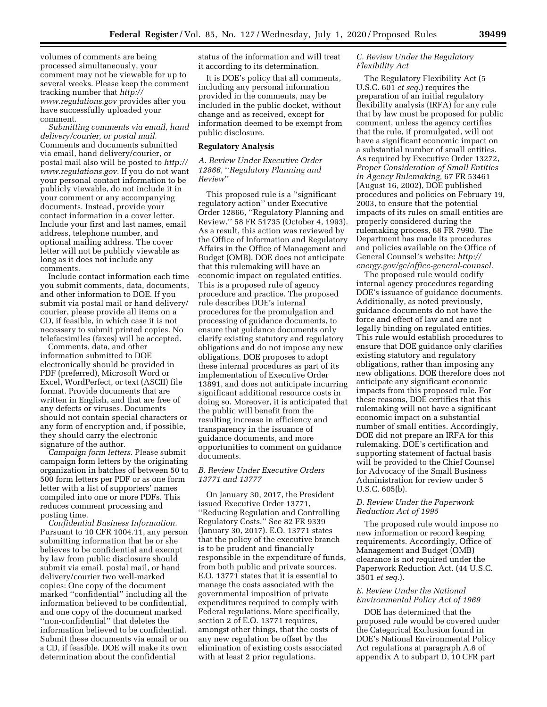volumes of comments are being processed simultaneously, your comment may not be viewable for up to several weeks. Please keep the comment tracking number that *[http://](http://www.regulations.gov) [www.regulations.gov](http://www.regulations.gov)* provides after you have successfully uploaded your comment.

*Submitting comments via email, hand delivery/courier, or postal mail.*  Comments and documents submitted via email, hand delivery/courier, or postal mail also will be posted to *[http://](http://www.regulations.gov) [www.regulations.gov.](http://www.regulations.gov)* If you do not want your personal contact information to be publicly viewable, do not include it in your comment or any accompanying documents. Instead, provide your contact information in a cover letter. Include your first and last names, email address, telephone number, and optional mailing address. The cover letter will not be publicly viewable as long as it does not include any comments.

Include contact information each time you submit comments, data, documents, and other information to DOE. If you submit via postal mail or hand delivery/ courier, please provide all items on a CD, if feasible, in which case it is not necessary to submit printed copies. No telefacsimiles (faxes) will be accepted.

Comments, data, and other information submitted to DOE electronically should be provided in PDF (preferred), Microsoft Word or Excel, WordPerfect, or text (ASCII) file format. Provide documents that are written in English, and that are free of any defects or viruses. Documents should not contain special characters or any form of encryption and, if possible, they should carry the electronic signature of the author.

*Campaign form letters.* Please submit campaign form letters by the originating organization in batches of between 50 to 500 form letters per PDF or as one form letter with a list of supporters' names compiled into one or more PDFs. This reduces comment processing and posting time.

*Confidential Business Information.*  Pursuant to 10 CFR 1004.11, any person submitting information that he or she believes to be confidential and exempt by law from public disclosure should submit via email, postal mail, or hand delivery/courier two well-marked copies: One copy of the document marked ''confidential'' including all the information believed to be confidential, and one copy of the document marked ''non-confidential'' that deletes the information believed to be confidential. Submit these documents via email or on a CD, if feasible. DOE will make its own determination about the confidential

status of the information and will treat it according to its determination.

It is DOE's policy that all comments, including any personal information provided in the comments, may be included in the public docket, without change and as received, except for information deemed to be exempt from public disclosure.

#### **Regulatory Analysis**

## *A. Review Under Executive Order 12866,* ''*Regulatory Planning and Review*''

This proposed rule is a ''significant regulatory action'' under Executive Order 12866, ''Regulatory Planning and Review.'' 58 FR 51735 (October 4, 1993). As a result, this action was reviewed by the Office of Information and Regulatory Affairs in the Office of Management and Budget (OMB). DOE does not anticipate that this rulemaking will have an economic impact on regulated entities. This is a proposed rule of agency procedure and practice. The proposed rule describes DOE's internal procedures for the promulgation and processing of guidance documents, to ensure that guidance documents only clarify existing statutory and regulatory obligations and do not impose any new obligations. DOE proposes to adopt these internal procedures as part of its implementation of Executive Order 13891, and does not anticipate incurring significant additional resource costs in doing so. Moreover, it is anticipated that the public will benefit from the resulting increase in efficiency and transparency in the issuance of guidance documents, and more opportunities to comment on guidance documents.

## *B. Review Under Executive Orders 13771 and 13777*

On January 30, 2017, the President issued Executive Order 13771, ''Reducing Regulation and Controlling Regulatory Costs.'' See 82 FR 9339 (January 30, 2017). E.O. 13771 states that the policy of the executive branch is to be prudent and financially responsible in the expenditure of funds, from both public and private sources. E.O. 13771 states that it is essential to manage the costs associated with the governmental imposition of private expenditures required to comply with Federal regulations. More specifically, section 2 of E.O. 13771 requires, amongst other things, that the costs of any new regulation be offset by the elimination of existing costs associated with at least 2 prior regulations.

#### *C. Review Under the Regulatory Flexibility Act*

The Regulatory Flexibility Act (5 U.S.C. 601 *et seq.*) requires the preparation of an initial regulatory flexibility analysis (IRFA) for any rule that by law must be proposed for public comment, unless the agency certifies that the rule, if promulgated, will not have a significant economic impact on a substantial number of small entities. As required by Executive Order 13272, *Proper Consideration of Small Entities in Agency Rulemaking,* 67 FR 53461 (August 16, 2002), DOE published procedures and policies on February 19, 2003, to ensure that the potential impacts of its rules on small entities are properly considered during the rulemaking process, 68 FR 7990. The Department has made its procedures and policies available on the Office of General Counsel's website: *[http://](http://energy.gov/gc/office-general-counsel) [energy.gov/gc/office-general-counsel.](http://energy.gov/gc/office-general-counsel)* 

The proposed rule would codify internal agency procedures regarding DOE's issuance of guidance documents. Additionally, as noted previously, guidance documents do not have the force and effect of law and are not legally binding on regulated entities. This rule would establish procedures to ensure that DOE guidance only clarifies existing statutory and regulatory obligations, rather than imposing any new obligations. DOE therefore does not anticipate any significant economic impacts from this proposed rule. For these reasons, DOE certifies that this rulemaking will not have a significant economic impact on a substantial number of small entities. Accordingly, DOE did not prepare an IRFA for this rulemaking. DOE's certification and supporting statement of factual basis will be provided to the Chief Counsel for Advocacy of the Small Business Administration for review under 5 U.S.C. 605(b).

## *D. Review Under the Paperwork Reduction Act of 1995*

The proposed rule would impose no new information or record keeping requirements. Accordingly, Office of Management and Budget (OMB) clearance is not required under the Paperwork Reduction Act. (44 U.S.C. 3501 *et seq.*).

## *E. Review Under the National Environmental Policy Act of 1969*

DOE has determined that the proposed rule would be covered under the Categorical Exclusion found in DOE's National Environmental Policy Act regulations at paragraph A.6 of appendix A to subpart D, 10 CFR part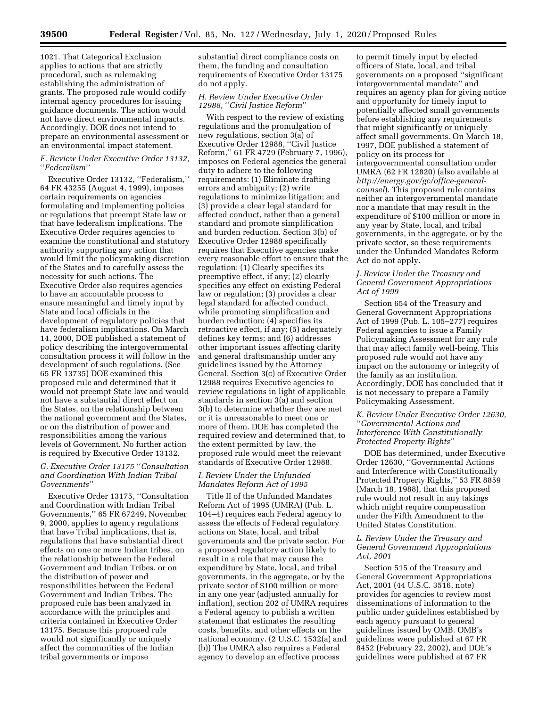1021. That Categorical Exclusion applies to actions that are strictly procedural, such as rulemaking establishing the administration of grants. The proposed rule would codify internal agency procedures for issuing guidance documents. The action would not have direct environmental impacts. Accordingly, DOE does not intend to prepare an environmental assessment or an environmental impact statement.

#### *F. Review Under Executive Order 13132,*  ''*Federalism*''

Executive Order 13132, ''Federalism,'' 64 FR 43255 (August 4, 1999), imposes certain requirements on agencies formulating and implementing policies or regulations that preempt State law or that have federalism implications. The Executive Order requires agencies to examine the constitutional and statutory authority supporting any action that would limit the policymaking discretion of the States and to carefully assess the necessity for such actions. The Executive Order also requires agencies to have an accountable process to ensure meaningful and timely input by State and local officials in the development of regulatory policies that have federalism implications. On March 14, 2000, DOE published a statement of policy describing the intergovernmental consultation process it will follow in the development of such regulations. (See 65 FR 13735) DOE examined this proposed rule and determined that it would not preempt State law and would not have a substantial direct effect on the States, on the relationship between the national government and the States, or on the distribution of power and responsibilities among the various levels of Government. No further action is required by Executive Order 13132.

# *G. Executive Order 13175* ''*Consultation and Coordination With Indian Tribal Governments*''

Executive Order 13175, ''Consultation and Coordination with Indian Tribal Governments,'' 65 FR 67249, November 9, 2000, applies to agency regulations that have Tribal implications, that is, regulations that have substantial direct effects on one or more Indian tribes, on the relationship between the Federal Government and Indian Tribes, or on the distribution of power and responsibilities between the Federal Government and Indian Tribes. The proposed rule has been analyzed in accordance with the principles and criteria contained in Executive Order 13175. Because this proposed rule would not significantly or uniquely affect the communities of the Indian tribal governments or impose

substantial direct compliance costs on them, the funding and consultation requirements of Executive Order 13175 do not apply.

## *H. Review Under Executive Order 12988,* ''*Civil Justice Reform*''

With respect to the review of existing regulations and the promulgation of new regulations, section 3(a) of Executive Order 12988, ''Civil Justice Reform,'' 61 FR 4729 (February 7, 1996), imposes on Federal agencies the general duty to adhere to the following requirements: (1) Eliminate drafting errors and ambiguity; (2) write regulations to minimize litigation; and (3) provide a clear legal standard for affected conduct, rather than a general standard and promote simplification and burden reduction. Section 3(b) of Executive Order 12988 specifically requires that Executive agencies make every reasonable effort to ensure that the regulation: (1) Clearly specifies its preemptive effect, if any; (2) clearly specifies any effect on existing Federal law or regulation; (3) provides a clear legal standard for affected conduct, while promoting simplification and burden reduction; (4) specifies its retroactive effect, if any; (5) adequately defines key terms; and (6) addresses other important issues affecting clarity and general draftsmanship under any guidelines issued by the Attorney General. Section 3(c) of Executive Order 12988 requires Executive agencies to review regulations in light of applicable standards in section 3(a) and section 3(b) to determine whether they are met or it is unreasonable to meet one or more of them. DOE has completed the required review and determined that, to the extent permitted by law, the proposed rule would meet the relevant standards of Executive Order 12988.

## *I. Review Under the Unfunded Mandates Reform Act of 1995*

Title II of the Unfunded Mandates Reform Act of 1995 (UMRA) (Pub. L. 104–4) requires each Federal agency to assess the effects of Federal regulatory actions on State, local, and tribal governments and the private sector. For a proposed regulatory action likely to result in a rule that may cause the expenditure by State, local, and tribal governments, in the aggregate, or by the private sector of \$100 million or more in any one year (adjusted annually for inflation), section 202 of UMRA requires a Federal agency to publish a written statement that estimates the resulting costs, benefits, and other effects on the national economy. (2 U.S.C. 1532(a) and (b)) The UMRA also requires a Federal agency to develop an effective process

to permit timely input by elected officers of State, local, and tribal governments on a proposed ''significant intergovernmental mandate'' and requires an agency plan for giving notice and opportunity for timely input to potentially affected small governments before establishing any requirements that might significantly or uniquely affect small governments. On March 18, 1997, DOE published a statement of policy on its process for intergovernmental consultation under UMRA (62 FR 12820) (also available at *[http://energy.gov/gc/office-general](http://energy.gov/gc/office-general-counsel)[counsel](http://energy.gov/gc/office-general-counsel)*). This proposed rule contains neither an intergovernmental mandate nor a mandate that may result in the expenditure of \$100 million or more in any year by State, local, and tribal governments, in the aggregate, or by the private sector, so these requirements under the Unfunded Mandates Reform Act do not apply.

## *J. Review Under the Treasury and General Government Appropriations Act of 1999*

Section 654 of the Treasury and General Government Appropriations Act of 1999 (Pub. L. 105–277) requires Federal agencies to issue a Family Policymaking Assessment for any rule that may affect family well-being. This proposed rule would not have any impact on the autonomy or integrity of the family as an institution. Accordingly, DOE has concluded that it is not necessary to prepare a Family Policymaking Assessment.

## *K. Review Under Executive Order 12630,*  ''*Governmental Actions and Interference With Constitutionally Protected Property Rights*''

DOE has determined, under Executive Order 12630, ''Governmental Actions and Interference with Constitutionally Protected Property Rights,'' 53 FR 8859 (March 18, 1988), that this proposed rule would not result in any takings which might require compensation under the Fifth Amendment to the United States Constitution.

## *L. Review Under the Treasury and General Government Appropriations Act, 2001*

Section 515 of the Treasury and General Government Appropriations Act, 2001 (44 U.S.C. 3516, note) provides for agencies to review most disseminations of information to the public under guidelines established by each agency pursuant to general guidelines issued by OMB. OMB's guidelines were published at 67 FR 8452 (February 22, 2002), and DOE's guidelines were published at 67 FR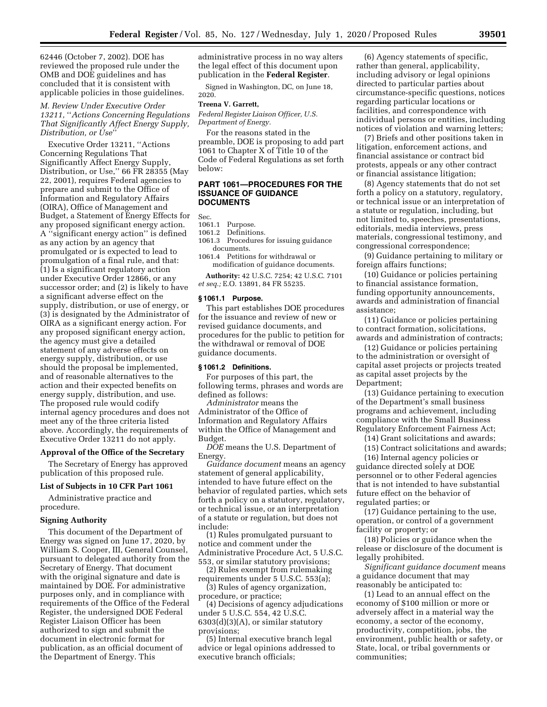62446 (October 7, 2002). DOE has reviewed the proposed rule under the OMB and DOE guidelines and has concluded that it is consistent with applicable policies in those guidelines.

*M. Review Under Executive Order 13211,* ''*Actions Concerning Regulations That Significantly Affect Energy Supply, Distribution, or Use*''

Executive Order 13211, ''Actions Concerning Regulations That Significantly Affect Energy Supply, Distribution, or Use,'' 66 FR 28355 (May 22, 2001), requires Federal agencies to prepare and submit to the Office of Information and Regulatory Affairs (OIRA), Office of Management and Budget, a Statement of Energy Effects for any proposed significant energy action. A ''significant energy action'' is defined as any action by an agency that promulgated or is expected to lead to promulgation of a final rule, and that: (1) Is a significant regulatory action under Executive Order 12866, or any successor order; and (2) is likely to have a significant adverse effect on the supply, distribution, or use of energy, or (3) is designated by the Administrator of OIRA as a significant energy action. For any proposed significant energy action, the agency must give a detailed statement of any adverse effects on energy supply, distribution, or use should the proposal be implemented, and of reasonable alternatives to the action and their expected benefits on energy supply, distribution, and use. The proposed rule would codify internal agency procedures and does not meet any of the three criteria listed above. Accordingly, the requirements of Executive Order 13211 do not apply.

#### **Approval of the Office of the Secretary**

The Secretary of Energy has approved publication of this proposed rule.

#### **List of Subjects in 10 CFR Part 1061**

Administrative practice and procedure.

#### **Signing Authority**

This document of the Department of Energy was signed on June 17, 2020, by William S. Cooper, III, General Counsel, pursuant to delegated authority from the Secretary of Energy. That document with the original signature and date is maintained by DOE. For administrative purposes only, and in compliance with requirements of the Office of the Federal Register, the undersigned DOE Federal Register Liaison Officer has been authorized to sign and submit the document in electronic format for publication, as an official document of the Department of Energy. This

administrative process in no way alters the legal effect of this document upon publication in the **Federal Register**.

Signed in Washington, DC, on June 18, 2020.

#### **Treena V. Garrett,**

*Federal Register Liaison Officer, U.S. Department of Energy.* 

For the reasons stated in the preamble, DOE is proposing to add part 1061 to Chapter X of Title 10 of the Code of Federal Regulations as set forth below:

## **PART 1061—PROCEDURES FOR THE ISSUANCE OF GUIDANCE DOCUMENTS**

Sec.<br>1061-1

1061.1 Purpose.<br>1061.2 Definitio

Definitions.

1061.3 Procedures for issuing guidance documents.

1061.4 Petitions for withdrawal or modification of guidance documents.

**Authority:** 42 U.S.C. 7254; 42 U.S.C. 7101 *et seq.;* E.O. 13891, 84 FR 55235.

#### **§ 1061.1 Purpose.**

This part establishes DOE procedures for the issuance and review of new or revised guidance documents, and procedures for the public to petition for the withdrawal or removal of DOE guidance documents.

## **§ 1061.2 Definitions.**

For purposes of this part, the following terms, phrases and words are defined as follows:

*Administrator* means the Administrator of the Office of Information and Regulatory Affairs within the Office of Management and Budget.

*DOE* means the U.S. Department of Energy.

*Guidance document* means an agency statement of general applicability, intended to have future effect on the behavior of regulated parties, which sets forth a policy on a statutory, regulatory, or technical issue, or an interpretation of a statute or regulation, but does not include:

(1) Rules promulgated pursuant to notice and comment under the Administrative Procedure Act, 5 U.S.C. 553, or similar statutory provisions;

(2) Rules exempt from rulemaking requirements under 5 U.S.C. 553(a);

(3) Rules of agency organization, procedure, or practice;

(4) Decisions of agency adjudications under 5 U.S.C. 554, 42 U.S.C.  $6303(d)(3)(A)$ , or similar statutory provisions;

(5) Internal executive branch legal advice or legal opinions addressed to executive branch officials;

(6) Agency statements of specific, rather than general, applicability, including advisory or legal opinions directed to particular parties about circumstance-specific questions, notices regarding particular locations or facilities, and correspondence with individual persons or entities, including notices of violation and warning letters;

(7) Briefs and other positions taken in litigation, enforcement actions, and financial assistance or contract bid protests, appeals or any other contract or financial assistance litigation;

(8) Agency statements that do not set forth a policy on a statutory, regulatory, or technical issue or an interpretation of a statute or regulation, including, but not limited to, speeches, presentations, editorials, media interviews, press materials, congressional testimony, and congressional correspondence;

(9) Guidance pertaining to military or foreign affairs functions;

(10) Guidance or policies pertaining to financial assistance formation, funding opportunity announcements, awards and administration of financial assistance;

(11) Guidance or policies pertaining to contract formation, solicitations, awards and administration of contracts;

(12) Guidance or policies pertaining to the administration or oversight of capital asset projects or projects treated as capital asset projects by the Department;

(13) Guidance pertaining to execution of the Department's small business programs and achievement, including compliance with the Small Business Regulatory Enforcement Fairness Act;

(14) Grant solicitations and awards;

(15) Contract solicitations and awards;

(16) Internal agency policies or guidance directed solely at DOE personnel or to other Federal agencies that is not intended to have substantial future effect on the behavior of regulated parties; or

(17) Guidance pertaining to the use, operation, or control of a government facility or property; or

(18) Policies or guidance when the release or disclosure of the document is legally prohibited.

*Significant guidance document* means a guidance document that may reasonably be anticipated to:

(1) Lead to an annual effect on the economy of \$100 million or more or adversely affect in a material way the economy, a sector of the economy, productivity, competition, jobs, the environment, public health or safety, or State, local, or tribal governments or communities;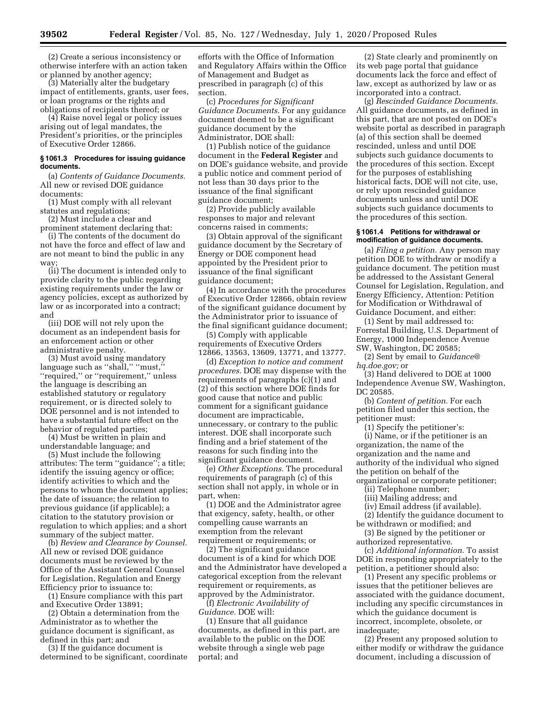(2) Create a serious inconsistency or otherwise interfere with an action taken or planned by another agency;

(3) Materially alter the budgetary impact of entitlements, grants, user fees, or loan programs or the rights and obligations of recipients thereof; or

(4) Raise novel legal or policy issues arising out of legal mandates, the President's priorities, or the principles of Executive Order 12866.

### **§ 1061.3 Procedures for issuing guidance documents.**

(a) *Contents of Guidance Documents.*  All new or revised DOE guidance documents:

(1) Must comply with all relevant statutes and regulations;

(2) Must include a clear and

prominent statement declaring that:

(i) The contents of the document do not have the force and effect of law and are not meant to bind the public in any way

(ii) The document is intended only to provide clarity to the public regarding existing requirements under the law or agency policies, except as authorized by law or as incorporated into a contract; and

(iii) DOE will not rely upon the document as an independent basis for an enforcement action or other administrative penalty.

(3) Must avoid using mandatory language such as "shall," "must," ''required,'' or ''requirement,'' unless the language is describing an established statutory or regulatory requirement, or is directed solely to DOE personnel and is not intended to have a substantial future effect on the behavior of regulated parties;

(4) Must be written in plain and understandable language; and

(5) Must include the following attributes: The term ''guidance''; a title; identify the issuing agency or office; identify activities to which and the persons to whom the document applies; the date of issuance; the relation to previous guidance (if applicable); a citation to the statutory provision or regulation to which applies; and a short summary of the subject matter.

(b) *Review and Clearance by Counsel.*  All new or revised DOE guidance documents must be reviewed by the Office of the Assistant General Counsel for Legislation, Regulation and Energy Efficiency prior to issuance to:

(1) Ensure compliance with this part and Executive Order 13891;

(2) Obtain a determination from the Administrator as to whether the guidance document is significant, as defined in this part; and

(3) If the guidance document is determined to be significant, coordinate

efforts with the Office of Information and Regulatory Affairs within the Office of Management and Budget as prescribed in paragraph (c) of this section.

(c) *Procedures for Significant Guidance Documents.* For any guidance document deemed to be a significant guidance document by the Administrator, DOE shall:

(1) Publish notice of the guidance document in the **Federal Register** and on DOE's guidance website, and provide a public notice and comment period of not less than 30 days prior to the issuance of the final significant guidance document;

(2) Provide publicly available responses to major and relevant concerns raised in comments;

(3) Obtain approval of the significant guidance document by the Secretary of Energy or DOE component head appointed by the President prior to issuance of the final significant guidance document;

(4) In accordance with the procedures of Executive Order 12866, obtain review of the significant guidance document by the Administrator prior to issuance of the final significant guidance document;

(5) Comply with applicable requirements of Executive Orders 12866, 13563, 13609, 13771, and 13777.

(d) *Exception to notice and comment procedures.* DOE may dispense with the requirements of paragraphs (c)(1) and (2) of this section where DOE finds for good cause that notice and public comment for a significant guidance document are impracticable, unnecessary, or contrary to the public interest. DOE shall incorporate such finding and a brief statement of the reasons for such finding into the significant guidance document.

(e) *Other Exceptions.* The procedural requirements of paragraph (c) of this section shall not apply, in whole or in part, when:

(1) DOE and the Administrator agree that exigency, safety, health, or other compelling cause warrants an exemption from the relevant requirement or requirements; or

(2) The significant guidance document is of a kind for which DOE and the Administrator have developed a categorical exception from the relevant requirement or requirements, as approved by the Administrator.

(f) *Electronic Availability of Guidance.* DOE will:

(1) Ensure that all guidance documents, as defined in this part, are available to the public on the DOE website through a single web page portal; and

(2) State clearly and prominently on its web page portal that guidance documents lack the force and effect of law, except as authorized by law or as incorporated into a contract.

(g) *Rescinded Guidance Documents.*  All guidance documents, as defined in this part, that are not posted on DOE's website portal as described in paragraph (a) of this section shall be deemed rescinded, unless and until DOE subjects such guidance documents to the procedures of this section. Except for the purposes of establishing historical facts, DOE will not cite, use, or rely upon rescinded guidance documents unless and until DOE subjects such guidance documents to the procedures of this section.

#### **§ 1061.4 Petitions for withdrawal or modification of guidance documents.**

(a) *Filing a petition.* Any person may petition DOE to withdraw or modify a guidance document. The petition must be addressed to the Assistant General Counsel for Legislation, Regulation, and Energy Efficiency, Attention: Petition for Modification or Withdrawal of Guidance Document, and either:

(1) Sent by mail addressed to: Forrestal Building, U.S. Department of Energy, 1000 Independence Avenue SW, Washington, DC 20585;

(2) Sent by email to *[Guidance@](mailto:Guidance@hq.doe.gov) [hq.doe.gov;](mailto:Guidance@hq.doe.gov)* or

(3) Hand delivered to DOE at 1000 Independence Avenue SW, Washington, DC 20585.

(b) *Content of petition.* For each petition filed under this section, the petitioner must:

(1) Specify the petitioner's:

(i) Name, or if the petitioner is an organization, the name of the organization and the name and authority of the individual who signed the petition on behalf of the organizational or corporate petitioner;

(ii) Telephone number;

(iii) Mailing address; and

(iv) Email address (if available).

(2) Identify the guidance document to be withdrawn or modified; and

(3) Be signed by the petitioner or authorized representative.

(c) *Additional information.* To assist DOE in responding appropriately to the petition, a petitioner should also:

(1) Present any specific problems or issues that the petitioner believes are associated with the guidance document, including any specific circumstances in which the guidance document is incorrect, incomplete, obsolete, or inadequate;

(2) Present any proposed solution to either modify or withdraw the guidance document, including a discussion of